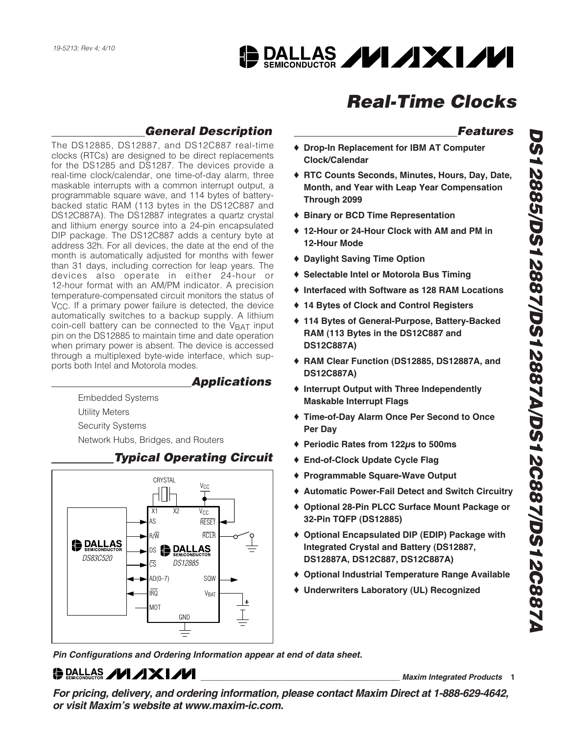# **DALLAS /VI/XI/VI**

# **Real-Time Clocks**

### **General Description**

The DS12885, DS12887, and DS12C887 real-time clocks (RTCs) are designed to be direct replacements for the DS1285 and DS1287. The devices provide a real-time clock/calendar, one time-of-day alarm, three maskable interrupts with a common interrupt output, a programmable square wave, and 114 bytes of batterybacked static RAM (113 bytes in the DS12C887 and DS12C887A). The DS12887 integrates a quartz crystal and lithium energy source into a 24-pin encapsulated DIP package. The DS12C887 adds a century byte at address 32h. For all devices, the date at the end of the month is automatically adjusted for months with fewer than 31 days, including correction for leap years. The devices also operate in either 24-hour or 12-hour format with an AM/PM indicator. A precision temperature-compensated circuit monitors the status of V<sub>CC</sub>. If a primary power failure is detected, the device automatically switches to a backup supply. A lithium coin-cell battery can be connected to the VBAT input pin on the DS12885 to maintain time and date operation when primary power is absent. The device is accessed through a multiplexed byte-wide interface, which supports both Intel and Motorola modes.

### **Applications**

Embedded Systems Utility Meters Security Systems Network Hubs, Bridges, and Routers



### **Typical Operating Circuit**

**Pin Configurations and Ordering Information appear at end of data sheet.**

# $\bigoplus_{\text{SALLAS}}$  // / XI//

**\_\_\_\_\_\_\_\_\_\_\_\_\_\_\_\_\_\_\_\_\_\_\_\_\_\_\_\_\_\_\_\_\_\_\_\_\_\_\_\_\_\_\_\_\_\_ Maxim Integrated Products 1**

**For pricing, delivery, and ordering information, please contact Maxim Direct at 1-888-629-4642, or visit Maxim's website at www.maxim-ic.com.**

# **Features**

- ♦ **Drop-In Replacement for IBM AT Computer Clock/Calendar**
- ♦ **RTC Counts Seconds, Minutes, Hours, Day, Date, Month, and Year with Leap Year Compensation Through 2099**
- ♦ **Binary or BCD Time Representation**
- ♦ **12-Hour or 24-Hour Clock with AM and PM in 12-Hour Mode**
- ♦ **Daylight Saving Time Option**
- ♦ **Selectable Intel or Motorola Bus Timing**
- ♦ **Interfaced with Software as 128 RAM Locations**
- ♦ **14 Bytes of Clock and Control Registers**
- ♦ **114 Bytes of General-Purpose, Battery-Backed RAM (113 Bytes in the DS12C887 and DS12C887A)**
- ♦ **RAM Clear Function (DS12885, DS12887A, and DS12C887A)**
- ♦ **Interrupt Output with Three Independently Maskable Interrupt Flags**
- ♦ **Time-of-Day Alarm Once Per Second to Once Per Day**
- ♦ **Periodic Rates from 122μs to 500ms**
- ♦ **End-of-Clock Update Cycle Flag**
- ♦ **Programmable Square-Wave Output**
- ♦ **Automatic Power-Fail Detect and Switch Circuitry**
- ♦ **Optional 28-Pin PLCC Surface Mount Package or 32-Pin TQFP (DS12885)**
- ♦ **Optional Encapsulated DIP (EDIP) Package with Integrated Crystal and Battery (DS12887, DS12887A, DS12C887, DS12C887A)**
- ♦ **Optional Industrial Temperature Range Available**
- ♦ **Underwriters Laboratory (UL) Recognized**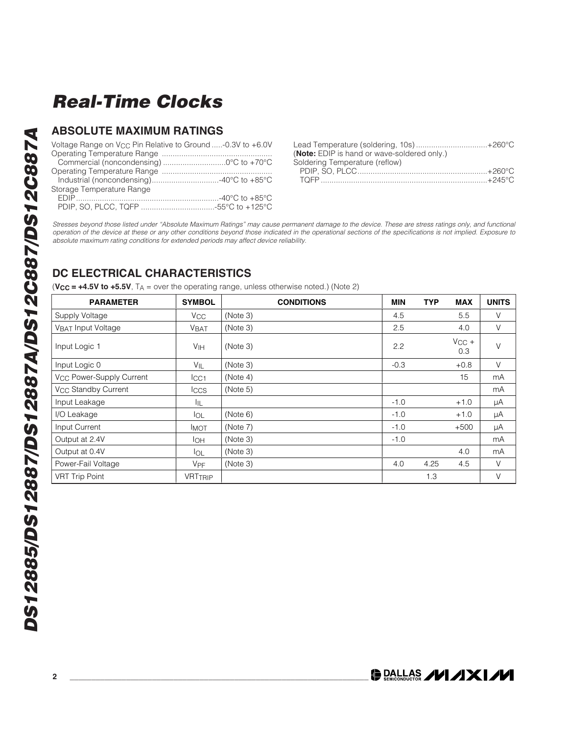#### **ABSOLUTE MAXIMUM RATINGS**

| Voltage Range on $V_{CC}$ Pin Relative to Ground -0.3V to +6.0V |  |
|-----------------------------------------------------------------|--|
|                                                                 |  |
|                                                                 |  |
|                                                                 |  |
|                                                                 |  |
| Storage Temperature Range                                       |  |
|                                                                 |  |
|                                                                 |  |

| Lead Temperature (soldering, 10s)+260°C     |  |
|---------------------------------------------|--|
| (Note: EDIP is hand or wave-soldered only.) |  |
| Soldering Temperature (reflow)              |  |
|                                             |  |
|                                             |  |

Stresses beyond those listed under "Absolute Maximum Ratings" may cause permanent damage to the device. These are stress ratings only, and functional operation of the device at these or any other conditions beyond those indicated in the operational sections of the specifications is not implied. Exposure to absolute maximum rating conditions for extended periods may affect device reliability.

### **DC ELECTRICAL CHARACTERISTICS**

 $(**V_{CC** = +4.5**V**$  to  $+5.5**V**$ ,  $T_A$  = over the operating range, unless otherwise noted.) (Note 2)

| <b>PARAMETER</b>                     | <b>SYMBOL</b>         | <b>CONDITIONS</b> | <b>MIN</b> | <b>TYP</b> | <b>MAX</b>        | <b>UNITS</b> |
|--------------------------------------|-----------------------|-------------------|------------|------------|-------------------|--------------|
| Supply Voltage                       | <b>V<sub>CC</sub></b> | (Note 3)          | 4.5        |            | 5.5               | $\vee$       |
| VBAT Input Voltage                   | <b>VBAT</b>           | (Note 3)          | 2.5        |            | 4.0               | $\vee$       |
| Input Logic 1                        | V <sub>IH</sub>       | (Note 3)          | 2.2        |            | $V_{CC}$ +<br>0.3 | $\vee$       |
| Input Logic 0                        | $V_{IL}$              | (Note 3)          | $-0.3$     |            | $+0.8$            | $\vee$       |
| V <sub>CC</sub> Power-Supply Current | ICC1                  | (Note 4)          |            |            | 15                | mA           |
| V <sub>CC</sub> Standby Current      | <b>Iccs</b>           | (Note 5)          |            |            |                   | mA           |
| Input Leakage                        | IIL.                  |                   | $-1.0$     |            | $+1.0$            | μA           |
| I/O Leakage                          | <b>I</b> OL           | (Note 6)          | $-1.0$     |            | $+1.0$            | μA           |
| Input Current                        | <b>IMOT</b>           | (Note 7)          | $-1.0$     |            | $+500$            | μA           |
| Output at 2.4V                       | IOH.                  | (Note 3)          | $-1.0$     |            |                   | mA           |
| Output at 0.4V                       | <b>I</b> OL           | (Note 3)          |            |            | 4.0               | mA           |
| Power-Fail Voltage                   | VPF                   | (Note 3)          | 4.0        | 4.25       | 4.5               | $\vee$       |
| <b>VRT Trip Point</b>                | <b>VRTTRIP</b>        |                   |            | 1.3        |                   | $\vee$       |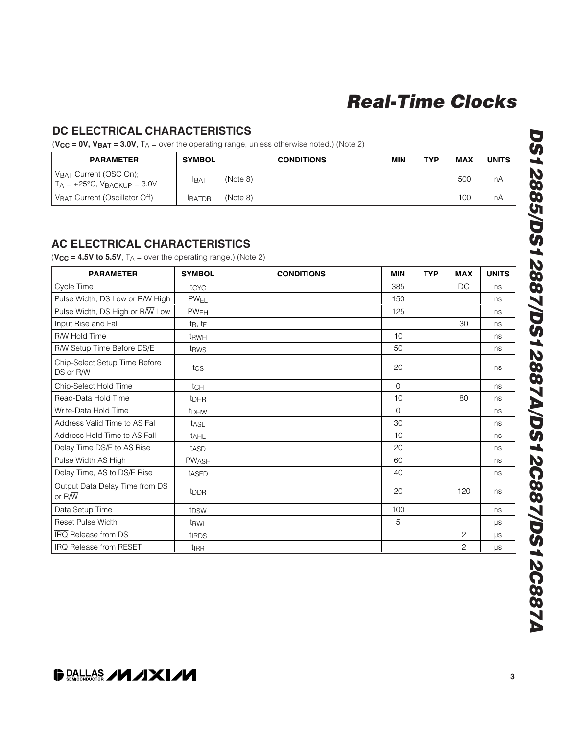#### **DC ELECTRICAL CHARACTERISTICS**

 $(**V_{CC** = **OV**, **V_{BAT}** = **3.0V**,  $T_A$  = over the operating range, unless otherwise noted.) (Note 2)$ 

| <b>PARAMETER</b>                                                    | <b>SYMBOL</b> | <b>CONDITIONS</b> | <b>MIN</b> | <b>TYP</b> | <b>MAX</b> | <b>UNITS</b> |
|---------------------------------------------------------------------|---------------|-------------------|------------|------------|------------|--------------|
| VBAT Current (OSC On);<br>$T_A = +25^{\circ}C$ , $V_B$ ackup = 3.0V | Іват          | (Note 8)          |            |            | 500        | nA           |
| VBAT Current (Oscillator Off)                                       | <b>BATDR</b>  | (Note 8)          |            |            | 100        | nA           |

#### **AC ELECTRICAL CHARACTERISTICS**

 $(**V_{CC** = 4.5**V**$  to 5.5V,  $T_A$  = over the operating range.) (Note 2)

| <b>PARAMETER</b>                                          | <b>SYMBOL</b>          | <b>CONDITIONS</b> | <b>MIN</b> | <b>TYP</b> | <b>MAX</b>     | <b>UNITS</b> |
|-----------------------------------------------------------|------------------------|-------------------|------------|------------|----------------|--------------|
| Cycle Time                                                | tcyc                   |                   | 385        |            | DC             | ns           |
| Pulse Width, DS Low or R/W High                           | <b>PW<sub>EL</sub></b> |                   | 150        |            |                | ns           |
| Pulse Width, DS High or R/W Low                           | <b>PW<sub>EH</sub></b> |                   | 125        |            |                | ns           |
| Input Rise and Fall                                       | $t_{R}$ , $t_{F}$      |                   |            |            | 30             | ns           |
| $R/\overline{W}$ Hold Time                                | t <sub>RWH</sub>       |                   | 10         |            |                | ns           |
| R/W Setup Time Before DS/E                                | t <sub>RWS</sub>       |                   | 50         |            |                | ns           |
| Chip-Select Setup Time Before<br>$DS$ or $R/\overline{W}$ | tcs                    |                   | 20         |            |                | ns           |
| Chip-Select Hold Time                                     | tc <sub>H</sub>        |                   | $\Omega$   |            |                | ns           |
| Read-Data Hold Time                                       | <b>t</b> DHR           |                   | 10         |            | 80             | ns           |
| Write-Data Hold Time                                      | t <sub>DHW</sub>       |                   | $\Omega$   |            |                | ns           |
| Address Valid Time to AS Fall                             | tasL                   |                   | 30         |            |                | ns           |
| Address Hold Time to AS Fall                              | tAHL                   |                   | 10         |            |                | ns           |
| Delay Time DS/E to AS Rise                                | t <sub>ASD</sub>       |                   | 20         |            |                | ns           |
| Pulse Width AS High                                       | <b>PWASH</b>           |                   | 60         |            |                | ns           |
| Delay Time, AS to DS/E Rise                               | tased                  |                   | 40         |            |                | ns           |
| Output Data Delay Time from DS<br>or $R/\overline{W}$     | t <sub>DDR</sub>       |                   | 20         |            | 120            | ns           |
| Data Setup Time                                           | t <sub>DSW</sub>       |                   | 100        |            |                | ns           |
| <b>Reset Pulse Width</b>                                  | t <sub>RWL</sub>       |                   | 5          |            |                | μs           |
| <b>IRQ</b> Release from DS                                | <b>tinds</b>           |                   |            |            | $\overline{2}$ | μs           |
| <b>IRQ Release from RESET</b>                             | ti <sub>RR</sub>       |                   |            |            | $\overline{c}$ | μs           |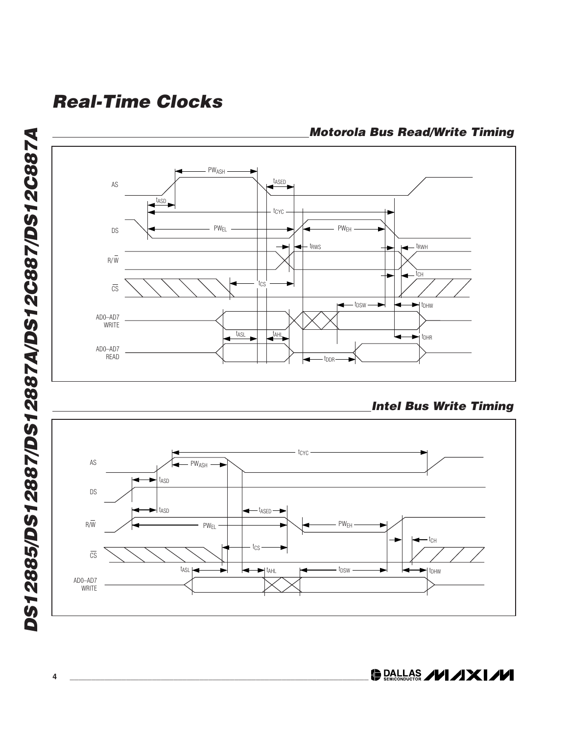

**Motorola Bus Read/Write Timing**



DRALLAS /VI/IXI/VI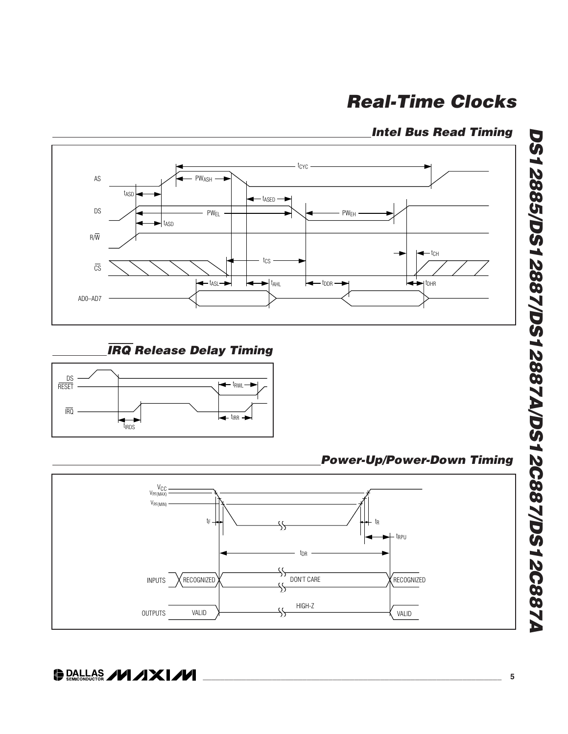### **Intel Bus Read Timing**



### IRQ **Release Delay Timing**



**Power-Up/Power-Down Timing**

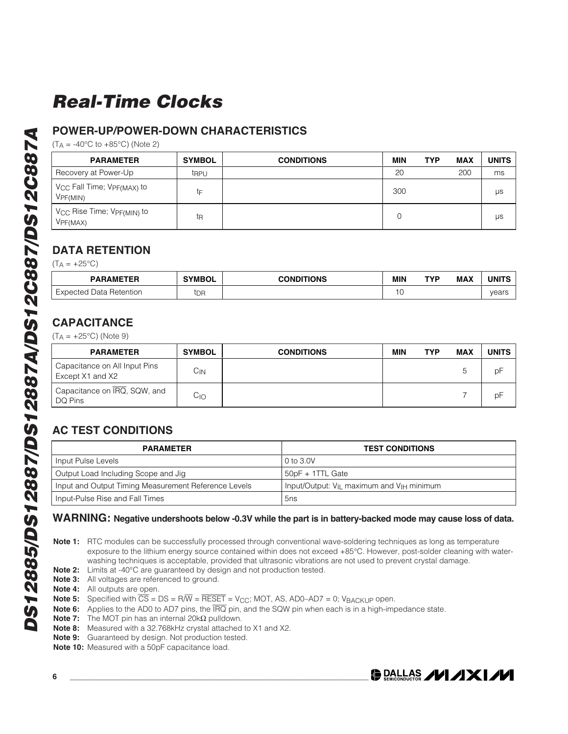### **POWER-UP/POWER-DOWN CHARACTERISTICS**

 $(T_A = -40^{\circ}C \text{ to } +85^{\circ}C)$  (Note 2)

| <b>PARAMETER</b>                                                           | <b>SYMBOL</b> | <b>CONDITIONS</b> | MIN | <b>TYP</b> | <b>MAX</b> | <b>UNITS</b> |
|----------------------------------------------------------------------------|---------------|-------------------|-----|------------|------------|--------------|
| Recovery at Power-Up                                                       | trpu          |                   | 20  |            | 200        | ms           |
| V <sub>CC</sub> Fall Time; V <sub>PF(MAX)</sub> to<br>V <sub>PF(MIN)</sub> | tF            |                   | 300 |            |            | μs           |
| V <sub>CC</sub> Rise Time; V <sub>PF(MIN)</sub> to<br>VPF(MAX)             | tŖ            |                   | 0   |            |            | μs           |

### **DATA RETENTION**

 $(T_A = +25^{\circ}C)$ 

| <b>PARAMETER</b>             | <b>SYMBOL</b>     | <b>CONDITIONS</b> | MIN | TVD | <b>MAX</b> | <b>I INIT</b> |
|------------------------------|-------------------|-------------------|-----|-----|------------|---------------|
| Expected<br>l Data Retention | $+ \nabla$<br>חשי |                   | ~   |     |            | vears         |

### **CAPACITANCE**

 $(T_A = +25^{\circ}C)$  (Note 9)

| <b>PARAMETER</b>                                  | <b>SYMBOL</b> | <b>CONDITIONS</b> | MIN | TYP | <b>MAX</b> | <b>UNITS</b> |
|---------------------------------------------------|---------------|-------------------|-----|-----|------------|--------------|
| Capacitance on All Input Pins<br>Except X1 and X2 | Cіn           |                   |     |     |            | ₽P           |
| Capacitance on IRQ, SQW, and<br>DQ Pins           | Cıo           |                   |     |     |            | рF           |

### **AC TEST CONDITIONS**

| <b>PARAMETER</b>                                     | <b>TEST CONDITIONS</b>                                            |
|------------------------------------------------------|-------------------------------------------------------------------|
| Input Pulse Levels                                   | 0 to 3.0V                                                         |
| Output Load Including Scope and Jig                  | 50pF + 1TTL Gate                                                  |
| Input and Output Timing Measurement Reference Levels | Input/Output: V <sub>IL</sub> maximum and V <sub>IH</sub> minimum |
| Input-Pulse Rise and Fall Times                      | 5ns                                                               |

#### **WARNING: Negative undershoots below -0.3V while the part is in battery-backed mode may cause loss of data.**

**Note 1:** RTC modules can be successfully processed through conventional wave-soldering techniques as long as temperature exposure to the lithium energy source contained within does not exceed +85°C. However, post-solder cleaning with waterwashing techniques is acceptable, provided that ultrasonic vibrations are not used to prevent crystal damage.

- **Note 2:** Limits at -40°C are guaranteed by design and not production tested.
- **Note 3:** All voltages are referenced to ground.
- **Note 4:** All outputs are open.
- **Note 5:** Specified with  $\overline{CS} = DS = R/\overline{W} = \overline{RESET} = V_{CC}$ ; MOT, AS, AD0-AD7 = 0; VBACKUP open.
- **Note 6:** Applies to the AD0 to AD7 pins, the  $\overline{IRQ}$  pin, and the SQW pin when each is in a high-impedance state.
- **Note 7:** The MOT pin has an internal 20kΩ pulldown.
- **Note 8:** Measured with a 32.768kHz crystal attached to X1 and X2.
- **Note 9:** Guaranteed by design. Not production tested.
- **Note 10:** Measured with a 50pF capacitance load.

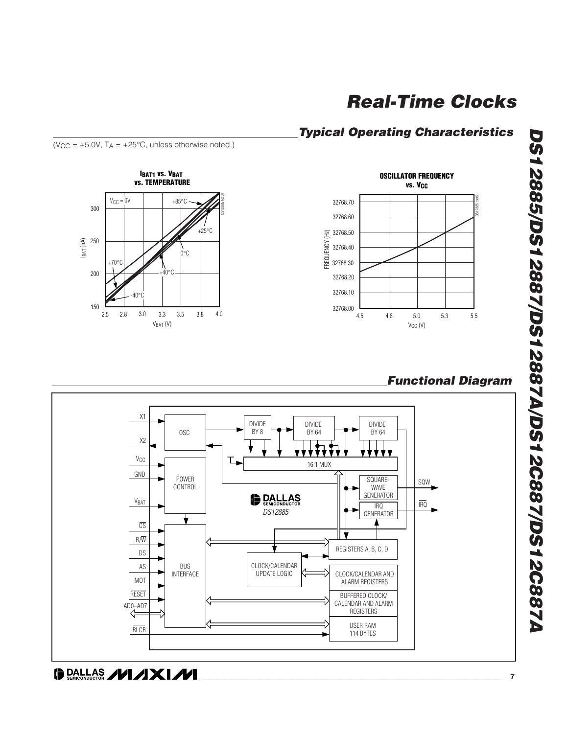### **Typical Operating Characteristics**



 $(V_{CC} = +5.0V, T_A = +25°C,$  unless otherwise noted.)





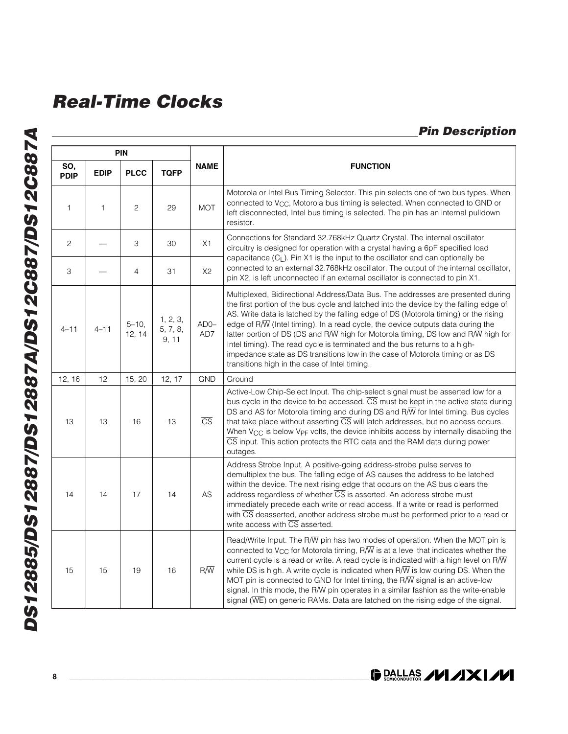### **Pin Description**

|                    | <b>PIN</b>   |                    |                               |                        |                                                                                                                                                                                                                                                                                                                                                                                                                                                                                                                                                                                                                                                                                                      |
|--------------------|--------------|--------------------|-------------------------------|------------------------|------------------------------------------------------------------------------------------------------------------------------------------------------------------------------------------------------------------------------------------------------------------------------------------------------------------------------------------------------------------------------------------------------------------------------------------------------------------------------------------------------------------------------------------------------------------------------------------------------------------------------------------------------------------------------------------------------|
| SO,<br><b>PDIP</b> | <b>EDIP</b>  | <b>PLCC</b>        | <b>TQFP</b>                   | <b>NAME</b>            | <b>FUNCTION</b>                                                                                                                                                                                                                                                                                                                                                                                                                                                                                                                                                                                                                                                                                      |
| $\mathbf{1}$       | $\mathbf{1}$ | $\overline{c}$     | 29                            | <b>MOT</b>             | Motorola or Intel Bus Timing Selector. This pin selects one of two bus types. When<br>connected to V <sub>CC</sub> , Motorola bus timing is selected. When connected to GND or<br>left disconnected, Intel bus timing is selected. The pin has an internal pulldown<br>resistor.                                                                                                                                                                                                                                                                                                                                                                                                                     |
| 2                  |              | 3                  | 30                            | X1                     | Connections for Standard 32.768kHz Quartz Crystal. The internal oscillator<br>circuitry is designed for operation with a crystal having a 6pF specified load                                                                                                                                                                                                                                                                                                                                                                                                                                                                                                                                         |
| 3                  |              | $\overline{4}$     | 31                            | X <sub>2</sub>         | capacitance (CL). Pin X1 is the input to the oscillator and can optionally be<br>connected to an external 32.768kHz oscillator. The output of the internal oscillator,<br>pin X2, is left unconnected if an external oscillator is connected to pin X1.                                                                                                                                                                                                                                                                                                                                                                                                                                              |
| $4 - 11$           | $4 - 11$     | $5 - 10$<br>12, 14 | 1, 2, 3,<br>5, 7, 8,<br>9, 11 | $ADO-$<br>AD7          | Multiplexed, Bidirectional Address/Data Bus. The addresses are presented during<br>the first portion of the bus cycle and latched into the device by the falling edge of<br>AS. Write data is latched by the falling edge of DS (Motorola timing) or the rising<br>edge of R $\overline{W}$ (Intel timing). In a read cycle, the device outputs data during the<br>latter portion of DS (DS and R $\overline{W}$ high for Motorola timing, DS low and R $\overline{W}$ high for<br>Intel timing). The read cycle is terminated and the bus returns to a high-<br>impedance state as DS transitions low in the case of Motorola timing or as DS<br>transitions high in the case of Intel timing.      |
| 12, 16             | 12           | 15, 20             | 12, 17                        | <b>GND</b>             | Ground                                                                                                                                                                                                                                                                                                                                                                                                                                                                                                                                                                                                                                                                                               |
| 13                 | 13           | 16                 | 13                            | $\overline{\text{CS}}$ | Active-Low Chip-Select Input. The chip-select signal must be asserted low for a<br>bus cycle in the device to be accessed. CS must be kept in the active state during<br>DS and AS for Motorola timing and during DS and $R/\overline{W}$ for Intel timing. Bus cycles<br>that take place without asserting $\overline{CS}$ will latch addresses, but no access occurs.<br>When V <sub>CC</sub> is below Vp <sub>F</sub> volts, the device inhibits access by internally disabling the<br>CS input. This action protects the RTC data and the RAM data during power<br>outages.                                                                                                                      |
| 14                 | 14           | 17                 | 14                            | AS                     | Address Strobe Input. A positive-going address-strobe pulse serves to<br>demultiplex the bus. The falling edge of AS causes the address to be latched<br>within the device. The next rising edge that occurs on the AS bus clears the<br>address regardless of whether CS is asserted. An address strobe must<br>immediately precede each write or read access. If a write or read is performed<br>with CS deasserted, another address strobe must be performed prior to a read or<br>write access with $\overline{\text{CS}}$ asserted.                                                                                                                                                             |
| 15                 | 15           | 19                 | 16                            | $R/\overline{W}$       | Read/Write Input. The R $\overline{W}$ pin has two modes of operation. When the MOT pin is<br>connected to V <sub>CC</sub> for Motorola timing, R $\overline{W}$ is at a level that indicates whether the<br>current cycle is a read or write. A read cycle is indicated with a high level on $R/\overline{W}$<br>while DS is high. A write cycle is indicated when $R/\overline{W}$ is low during DS. When the<br>MOT pin is connected to GND for Intel timing, the R $\overline{N}$ signal is an active-low<br>signal. In this mode, the R $\overline{W}$ pin operates in a similar fashion as the write-enable<br>signal (WE) on generic RAMs. Data are latched on the rising edge of the signal. |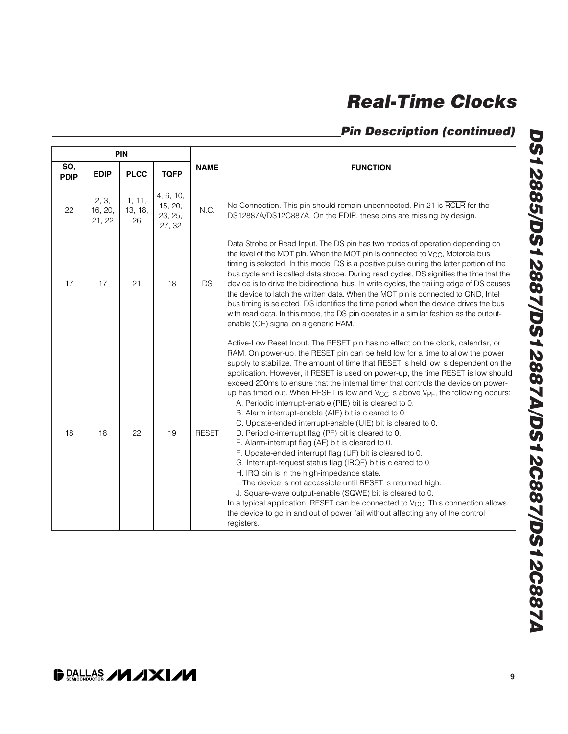### **Pin Description (continued)**

| <b>PIN</b>         |                            |                         |                                           |              |                                                                                                                                                                                                                                                                                                                                                                                                                                                                                                                                                                                                                                                                                                                                                                                                                                                                                                                                                                                                                                                                                                                                                                                                                                                                                                                                                                      |
|--------------------|----------------------------|-------------------------|-------------------------------------------|--------------|----------------------------------------------------------------------------------------------------------------------------------------------------------------------------------------------------------------------------------------------------------------------------------------------------------------------------------------------------------------------------------------------------------------------------------------------------------------------------------------------------------------------------------------------------------------------------------------------------------------------------------------------------------------------------------------------------------------------------------------------------------------------------------------------------------------------------------------------------------------------------------------------------------------------------------------------------------------------------------------------------------------------------------------------------------------------------------------------------------------------------------------------------------------------------------------------------------------------------------------------------------------------------------------------------------------------------------------------------------------------|
| SO,<br><b>PDIP</b> | <b>EDIP</b>                | <b>PLCC</b>             | <b>TQFP</b>                               | <b>NAME</b>  | <b>FUNCTION</b>                                                                                                                                                                                                                                                                                                                                                                                                                                                                                                                                                                                                                                                                                                                                                                                                                                                                                                                                                                                                                                                                                                                                                                                                                                                                                                                                                      |
| 22                 | 2, 3,<br>16, 20,<br>21, 22 | 1, 11,<br>13, 18,<br>26 | 4, 6, 10,<br>15, 20,<br>23, 25,<br>27, 32 | N.C.         | No Connection. This pin should remain unconnected. Pin 21 is RCLR for the<br>DS12887A/DS12C887A. On the EDIP, these pins are missing by design.                                                                                                                                                                                                                                                                                                                                                                                                                                                                                                                                                                                                                                                                                                                                                                                                                                                                                                                                                                                                                                                                                                                                                                                                                      |
| 17                 | 17                         | 21                      | 18                                        | DS.          | Data Strobe or Read Input. The DS pin has two modes of operation depending on<br>the level of the MOT pin. When the MOT pin is connected to V <sub>CC</sub> , Motorola bus<br>timing is selected. In this mode, DS is a positive pulse during the latter portion of the<br>bus cycle and is called data strobe. During read cycles, DS signifies the time that the<br>device is to drive the bidirectional bus. In write cycles, the trailing edge of DS causes<br>the device to latch the written data. When the MOT pin is connected to GND, Intel<br>bus timing is selected. DS identifies the time period when the device drives the bus<br>with read data. In this mode, the DS pin operates in a similar fashion as the output-<br>enable (OE) signal on a generic RAM.                                                                                                                                                                                                                                                                                                                                                                                                                                                                                                                                                                                        |
| 18                 | 18                         | 22                      | 19                                        | <b>RESET</b> | Active-Low Reset Input. The RESET pin has no effect on the clock, calendar, or<br>RAM. On power-up, the RESET pin can be held low for a time to allow the power<br>supply to stabilize. The amount of time that RESET is held low is dependent on the<br>application. However, if RESET is used on power-up, the time RESET is low should<br>exceed 200ms to ensure that the internal timer that controls the device on power-<br>up has timed out. When RESET is low and V <sub>CC</sub> is above V <sub>PF</sub> , the following occurs:<br>A. Periodic interrupt-enable (PIE) bit is cleared to 0.<br>B. Alarm interrupt-enable (AIE) bit is cleared to 0.<br>C. Update-ended interrupt-enable (UIE) bit is cleared to 0.<br>D. Periodic-interrupt flag (PF) bit is cleared to 0.<br>E. Alarm-interrupt flag (AF) bit is cleared to 0.<br>F. Update-ended interrupt flag (UF) bit is cleared to 0.<br>G. Interrupt-request status flag (IRQF) bit is cleared to 0.<br>H. $\overline{\text{IRQ}}$ pin is in the high-impedance state.<br>I. The device is not accessible until RESET is returned high.<br>J. Square-wave output-enable (SQWE) bit is cleared to 0.<br>In a typical application, RESET can be connected to V <sub>CC</sub> . This connection allows<br>the device to go in and out of power fail without affecting any of the control<br>registers. |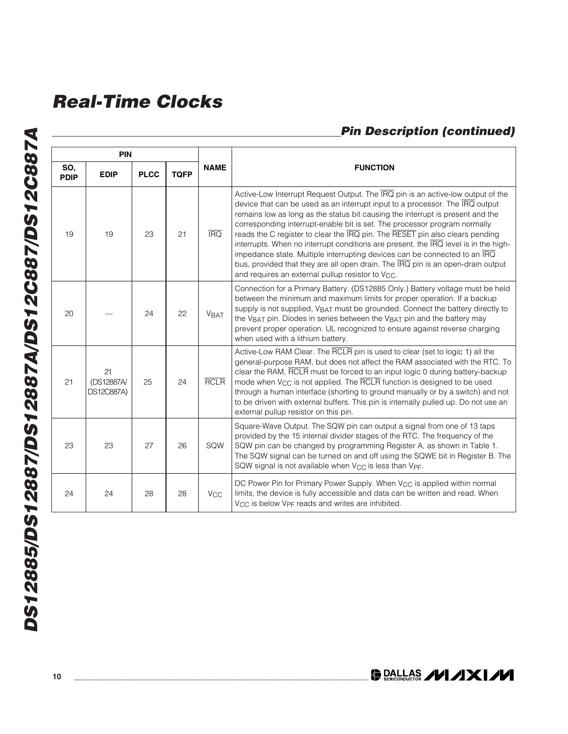## **Pin Description (continued)**

|                    | <b>PIN</b>                            |             |             |                 |                                                                                                                                                                                                                                                                                                                                                                                                                                                                                                                                                                                                                                                                                                                                        |
|--------------------|---------------------------------------|-------------|-------------|-----------------|----------------------------------------------------------------------------------------------------------------------------------------------------------------------------------------------------------------------------------------------------------------------------------------------------------------------------------------------------------------------------------------------------------------------------------------------------------------------------------------------------------------------------------------------------------------------------------------------------------------------------------------------------------------------------------------------------------------------------------------|
| SO,<br><b>PDIP</b> | <b>EDIP</b>                           | <b>PLCC</b> | <b>TQFP</b> | <b>NAME</b>     | <b>FUNCTION</b>                                                                                                                                                                                                                                                                                                                                                                                                                                                                                                                                                                                                                                                                                                                        |
| 19                 | 19                                    | 23          | 21          | <b>IRQ</b>      | Active-Low Interrupt Request Output. The IRQ pin is an active-low output of the<br>device that can be used as an interrupt input to a processor. The IRQ output<br>remains low as long as the status bit causing the interrupt is present and the<br>corresponding interrupt-enable bit is set. The processor program normally<br>reads the C register to clear the IRQ pin. The RESET pin also clears pending<br>interrupts. When no interrupt conditions are present, the IRQ level is in the high-<br>impedance state. Multiple interrupting devices can be connected to an IRQ<br>bus, provided that they are all open drain. The IRQ pin is an open-drain output<br>and requires an external pullup resistor to V <sub>CC</sub> . |
| 20                 |                                       | 24          | 22          | <b>VBAT</b>     | Connection for a Primary Battery. (DS12885 Only.) Battery voltage must be held<br>between the minimum and maximum limits for proper operation. If a backup<br>supply is not supplied, VBAT must be grounded. Connect the battery directly to<br>the V <sub>BAT</sub> pin. Diodes in series between the V <sub>BAT</sub> pin and the battery may<br>prevent proper operation. UL recognized to ensure against reverse charging<br>when used with a lithium battery.                                                                                                                                                                                                                                                                     |
| 21                 | 21<br>(DS12887A)<br><b>DS12C887A)</b> | 25          | 24          | <b>RCLR</b>     | Active-Low RAM Clear. The RCLR pin is used to clear (set to logic 1) all the<br>general-purpose RAM, but does not affect the RAM associated with the RTC. To<br>clear the RAM, RCLR must be forced to an input logic 0 during battery-backup<br>mode when $V_{CC}$ is not applied. The $\overline{RCLR}$ function is designed to be used<br>through a human interface (shorting to ground manually or by a switch) and not<br>to be driven with external buffers. This pin is internally pulled up. Do not use an<br>external pullup resistor on this pin.                                                                                                                                                                             |
| 23                 | 23                                    | 27          | 26          | SQW             | Square-Wave Output. The SQW pin can output a signal from one of 13 taps<br>provided by the 15 internal divider stages of the RTC. The frequency of the<br>SQW pin can be changed by programming Register A, as shown in Table 1.<br>The SQW signal can be turned on and off using the SQWE bit in Register B. The<br>SQW signal is not available when V <sub>CC</sub> is less than V <sub>PF</sub> .                                                                                                                                                                                                                                                                                                                                   |
| 24                 | 24                                    | 28          | 28          | V <sub>CC</sub> | DC Power Pin for Primary Power Supply. When V <sub>CC</sub> is applied within normal<br>limits, the device is fully accessible and data can be written and read. When<br>V <sub>CC</sub> is below V <sub>PF</sub> reads and writes are inhibited.                                                                                                                                                                                                                                                                                                                                                                                                                                                                                      |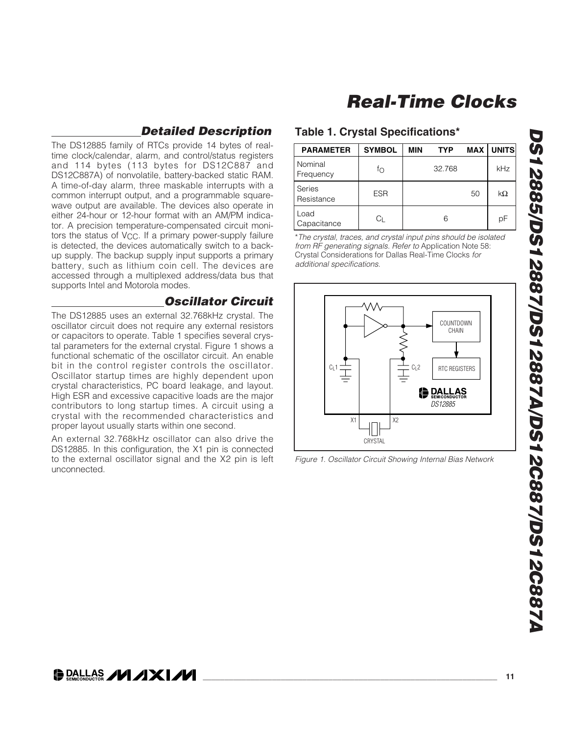### **Detailed Description**

The DS12885 family of RTCs provide 14 bytes of realtime clock/calendar, alarm, and control/status registers and 114 bytes (113 bytes for DS12C887 and DS12C887A) of nonvolatile, battery-backed static RAM. A time-of-day alarm, three maskable interrupts with a common interrupt output, and a programmable squarewave output are available. The devices also operate in either 24-hour or 12-hour format with an AM/PM indicator. A precision temperature-compensated circuit monitors the status of  $V_{CC}$ . If a primary power-supply failure is detected, the devices automatically switch to a backup supply. The backup supply input supports a primary battery, such as lithium coin cell. The devices are accessed through a multiplexed address/data bus that supports Intel and Motorola modes.

#### **Oscillator Circuit**

The DS12885 uses an external 32.768kHz crystal. The oscillator circuit does not require any external resistors or capacitors to operate. Table 1 specifies several crystal parameters for the external crystal. Figure 1 shows a functional schematic of the oscillator circuit. An enable bit in the control register controls the oscillator. Oscillator startup times are highly dependent upon crystal characteristics, PC board leakage, and layout. High ESR and excessive capacitive loads are the major contributors to long startup times. A circuit using a crystal with the recommended characteristics and proper layout usually starts within one second.

An external 32.768kHz oscillator can also drive the DS12885. In this configuration, the X1 pin is connected to the external oscillator signal and the X2 pin is left unconnected.

#### **Table 1. Crystal Specifications\***

| <b>PARAMETER</b>     | <b>SYMBOL</b> | MIN | <b>TYP</b> | <b>MAX</b> | <b>UNITS</b> |
|----------------------|---------------|-----|------------|------------|--------------|
| Nominal<br>Frequency | fΟ            |     | 32.768     |            | kHz          |
| Series<br>Resistance | <b>ESR</b>    |     |            | 50         | $k\Omega$    |
| Load<br>Capacitance  | UГ            |     | 6          |            | рF           |

\*The crystal, traces, and crystal input pins should be isolated from RF generating signals. Refer to Application Note 58: Crystal Considerations for Dallas Real-Time Clocks for additional specifications.



Figure 1. Oscillator Circuit Showing Internal Bias Network

### **DALLAS /VI /IXI/VI**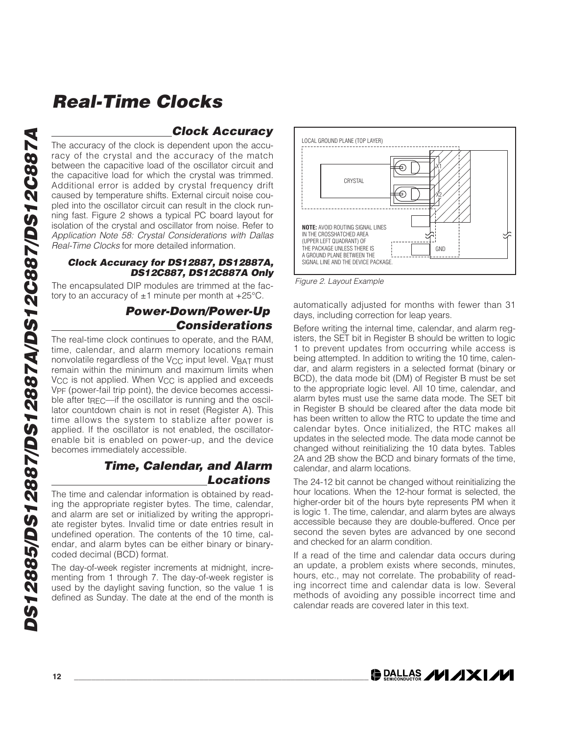### **Clock Accuracy**

The accuracy of the clock is dependent upon the accuracy of the crystal and the accuracy of the match between the capacitive load of the oscillator circuit and the capacitive load for which the crystal was trimmed. Additional error is added by crystal frequency drift caused by temperature shifts. External circuit noise coupled into the oscillator circuit can result in the clock running fast. Figure 2 shows a typical PC board layout for isolation of the crystal and oscillator from noise. Refer to Application Note 58: Crystal Considerations with Dallas Real-Time Clocks for more detailed information.

#### **Clock Accuracy for DS12887, DS12887A, DS12C887, DS12C887A Only**

The encapsulated DIP modules are trimmed at the factory to an accuracy of  $\pm 1$  minute per month at  $+25^{\circ}$ C.

#### **Power-Down/Power-Up Considerations**

The real-time clock continues to operate, and the RAM, time, calendar, and alarm memory locations remain nonvolatile regardless of the  $V_{CC}$  input level.  $V_{BAT}$  must remain within the minimum and maximum limits when V<sub>CC</sub> is not applied. When V<sub>CC</sub> is applied and exceeds VPF (power-fail trip point), the device becomes accessible after t $REC$ —if the oscillator is running and the oscillator countdown chain is not in reset (Register A). This time allows the system to stablize after power is applied. If the oscillator is not enabled, the oscillatorenable bit is enabled on power-up, and the device becomes immediately accessible.

#### **Time, Calendar, and Alarm Locations**

The time and calendar information is obtained by reading the appropriate register bytes. The time, calendar, and alarm are set or initialized by writing the appropriate register bytes. Invalid time or date entries result in undefined operation. The contents of the 10 time, calendar, and alarm bytes can be either binary or binarycoded decimal (BCD) format.

The day-of-week register increments at midnight, incrementing from 1 through 7. The day-of-week register is used by the daylight saving function, so the value 1 is defined as Sunday. The date at the end of the month is



Figure 2. Layout Example

automatically adjusted for months with fewer than 31 days, including correction for leap years.

Before writing the internal time, calendar, and alarm registers, the SET bit in Register B should be written to logic 1 to prevent updates from occurring while access is being attempted. In addition to writing the 10 time, calendar, and alarm registers in a selected format (binary or BCD), the data mode bit (DM) of Register B must be set to the appropriate logic level. All 10 time, calendar, and alarm bytes must use the same data mode. The SET bit in Register B should be cleared after the data mode bit has been written to allow the RTC to update the time and calendar bytes. Once initialized, the RTC makes all updates in the selected mode. The data mode cannot be changed without reinitializing the 10 data bytes. Tables 2A and 2B show the BCD and binary formats of the time, calendar, and alarm locations.

The 24-12 bit cannot be changed without reinitializing the hour locations. When the 12-hour format is selected, the higher-order bit of the hours byte represents PM when it is logic 1. The time, calendar, and alarm bytes are always accessible because they are double-buffered. Once per second the seven bytes are advanced by one second and checked for an alarm condition.

If a read of the time and calendar data occurs during an update, a problem exists where seconds, minutes, hours, etc., may not correlate. The probability of reading incorrect time and calendar data is low. Several methods of avoiding any possible incorrect time and calendar reads are covered later in this text.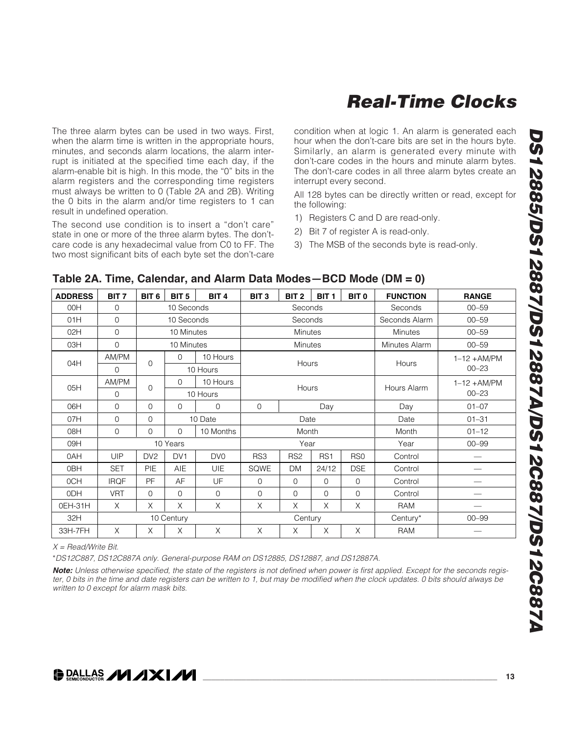The three alarm bytes can be used in two ways. First, when the alarm time is written in the appropriate hours, minutes, and seconds alarm locations, the alarm interrupt is initiated at the specified time each day, if the alarm-enable bit is high. In this mode, the "0" bits in the alarm registers and the corresponding time registers must always be written to 0 (Table 2A and 2B). Writing the 0 bits in the alarm and/or time registers to 1 can result in undefined operation.

The second use condition is to insert a "don't care" state in one or more of the three alarm bytes. The don'tcare code is any hexadecimal value from C0 to FF. The two most significant bits of each byte set the don't-care condition when at logic 1. An alarm is generated each hour when the don't-care bits are set in the hours byte. Similarly, an alarm is generated every minute with don't-care codes in the hours and minute alarm bytes. The don't-care codes in all three alarm bytes create an interrupt every second.

All 128 bytes can be directly written or read, except for the following:

- 1) Registers C and D are read-only.
- 2) Bit 7 of register A is read-only.
- 3) The MSB of the seconds byte is read-only.

| <b>ADDRESS</b>  | BIT <sub>7</sub> | BIT <sub>6</sub> | BIT <sub>5</sub> | BIT <sub>4</sub> | BIT <sub>3</sub>   | BIT <sub>2</sub> | BIT <sub>1</sub> | BIT <sub>0</sub> | <b>FUNCTION</b> | <b>RANGE</b>             |
|-----------------|------------------|------------------|------------------|------------------|--------------------|------------------|------------------|------------------|-----------------|--------------------------|
| 00H             | 0                |                  | 10 Seconds       |                  |                    | Seconds          |                  |                  | Seconds         | $00 - 59$                |
| 01H             | $\mathbf 0$      |                  | 10 Seconds       |                  |                    | Seconds          |                  |                  | Seconds Alarm   | $00 - 59$                |
| 02H             | $\mathbf 0$      |                  | 10 Minutes       |                  |                    | <b>Minutes</b>   |                  |                  | <b>Minutes</b>  | $00 - 59$                |
| 03H             | $\mathbf 0$      |                  | 10 Minutes       |                  |                    | <b>Minutes</b>   |                  |                  | Minutes Alarm   | $00 - 59$                |
|                 | AM/PM            |                  | $\mathbf 0$      | 10 Hours         |                    |                  |                  |                  |                 | $1-12 + AM/PM$           |
| 04H             | $\mathbf 0$      | $\mathbf 0$      |                  | 10 Hours         |                    | Hours            |                  |                  | Hours           | $00 - 23$                |
|                 | AM/PM            |                  | $\mathbf 0$      | 10 Hours         |                    |                  |                  |                  |                 | $1-12 + AM/PM$           |
| 05H             | $\Omega$         | 0                |                  | 10 Hours         |                    | Hours            |                  |                  | Hours Alarm     | $00 - 23$                |
| 06H             | $\mathbf 0$      | $\mathbf{O}$     | $\mathbf 0$      | $\mathbf 0$      | $\mathbf 0$<br>Day |                  |                  |                  | Day             | $01 - 07$                |
| 07H             | $\mathbf 0$      | 0                |                  | 10 Date          |                    | Date             |                  |                  | Date            | $01 - 31$                |
| 08H             | $\mathbf{0}$     | 0                | $\Omega$         | 10 Months        |                    | Month            |                  |                  | Month           | $01 - 12$                |
| 09H             |                  |                  | 10 Years         |                  |                    | Year             |                  |                  | Year            | $00 - 99$                |
| 0AH             | UIP              | DV <sub>2</sub>  | DV <sub>1</sub>  | DV <sub>0</sub>  | RS3                | RS <sub>2</sub>  | RS <sub>1</sub>  | RS <sub>0</sub>  | Control         | $\overline{\phantom{0}}$ |
| 0BH             | <b>SET</b>       | <b>PIE</b>       | <b>AIE</b>       | <b>UIE</b>       | SQWE               | <b>DM</b>        | 24/12            | <b>DSE</b>       | Control         |                          |
| 0CH             | <b>IRQF</b>      | PF               | AF               | UF               | $\overline{0}$     | $\Omega$         | $\Omega$         | $\Omega$         | Control         |                          |
| 0 <sub>DH</sub> | <b>VRT</b>       | $\mathbf{O}$     | $\mathbf 0$      | $\mathbf 0$      | $\mathbf 0$        | $\mathbf 0$      | $\Omega$         | $\mathbf{O}$     | Control         |                          |
| OEH-31H         | X                | X                | $\chi$           | $\times$         | $\times$           | X                | $\times$         | $\times$         | <b>RAM</b>      |                          |
| 32H             |                  |                  | 10 Century       |                  | Century            |                  |                  |                  | Century*        | $00 - 99$                |
| 33H-7FH         | X                | X                | X                | X                | X                  | X                | X                | $\times$         | <b>RAM</b>      |                          |
|                 |                  |                  |                  |                  |                    |                  |                  |                  |                 |                          |

#### **Table 2A. Time, Calendar, and Alarm Data Modes—BCD Mode (DM = 0)**

 $X = Read/W$ rite Bit.

\*DS12C887, DS12C887A only. General-purpose RAM on DS12885, DS12887, and DS12887A.

**Note:** Unless otherwise specified, the state of the registers is not defined when power is first applied. Except for the seconds register, 0 bits in the time and date registers can be written to 1, but may be modified when the clock updates. 0 bits should always be written to 0 except for alarm mask bits.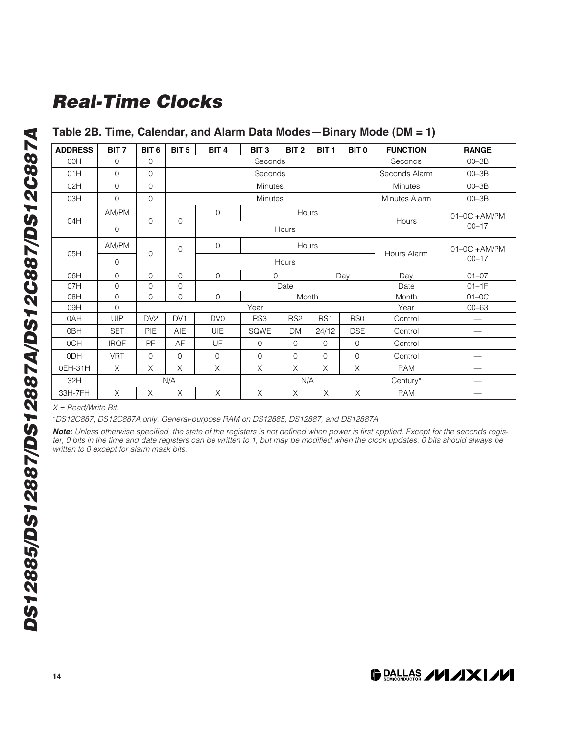#### **Table 2B. Time, Calendar, and Alarm Data Modes—Binary Mode (DM = 1)**

| <b>ADDRESS</b> | BIT <sub>7</sub> | BIT <sub>6</sub> | BIT <sub>5</sub> | BIT <sub>4</sub>                                                        | BIT <sub>3</sub> | BIT <sub>2</sub> | BIT <sub>1</sub> | BIT <sub>0</sub> | <b>FUNCTION</b> | <b>RANGE</b>    |
|----------------|------------------|------------------|------------------|-------------------------------------------------------------------------|------------------|------------------|------------------|------------------|-----------------|-----------------|
| 00H            | $\mathbf 0$      | $\mathbf{0}$     |                  |                                                                         | Seconds          |                  |                  |                  | Seconds         | $00 - 3B$       |
| 01H            | 0                | $\Omega$         |                  |                                                                         | Seconds          |                  |                  |                  | Seconds Alarm   | $00 - 3B$       |
| 02H            | 0                | $\mathbf{0}$     |                  |                                                                         | Minutes          |                  |                  |                  | Minutes         | $00 - 3B$       |
| 03H            | 0                | $\Omega$         |                  |                                                                         | Minutes          |                  |                  |                  | Minutes Alarm   | $00 - 3B$       |
| 04H            | AM/PM            | $\mathbf 0$      | $\mathbf 0$      | $\mathbf 0$                                                             |                  | Hours            |                  |                  | Hours           | $01-0C + AM/PM$ |
|                | 0                |                  |                  |                                                                         |                  | Hours            |                  |                  |                 | $00 - 17$       |
| 05H            | AM/PM            | $\mathbf 0$      | $\mathbf 0$      | $\mathbf 0$                                                             |                  | Hours            |                  |                  | Hours Alarm     | $01-0C + AM/PM$ |
|                | 0                |                  |                  | Hours                                                                   |                  |                  |                  |                  | $00 - 17$       |                 |
| 06H            | 0                | $\Omega$         | $\Omega$         | $\mathbf 0$<br>$\Omega$<br>Day                                          |                  |                  |                  | Day              | $01 - 07$       |                 |
| 07H            | 0                | $\Omega$         | $\Omega$         |                                                                         |                  | Date             |                  |                  | Date            | $01-1F$         |
| 08H            | 0                | $\mathbf 0$      | $\mathbf 0$      | $\mathbf 0$                                                             |                  | Month            |                  |                  | Month           | $01-0C$         |
| 09H            | $\mathbf 0$      |                  |                  |                                                                         | Year             |                  |                  |                  | Year            | $00 - 63$       |
| 0AH            | UIP              | DV <sub>2</sub>  | DV <sub>1</sub>  | DV <sub>0</sub>                                                         | RS3              | RS <sub>2</sub>  | RS <sub>1</sub>  | RS <sub>0</sub>  | Control         |                 |
| 0BH            | <b>SET</b>       | PIE              | AIE              | UIE                                                                     | SQWE             | <b>DM</b>        | 24/12            | <b>DSE</b>       | Control         |                 |
| 0CH            | <b>IRQF</b>      | PF               | AF               | UF                                                                      | $\mathbf 0$      | $\mathbf 0$      | $\mathbf 0$      | $\mathbf 0$      | Control         |                 |
| 0DH            | <b>VRT</b>       | $\mathbf 0$      | $\mathbf 0$      | $\mathbf 0$<br>$\mathbf 0$<br>$\mathbf 0$<br>$\mathbf 0$<br>$\mathbf 0$ |                  |                  | Control          |                  |                 |                 |
| 0EH-31H        | $\times$         | X                | X                | X                                                                       | X                | $\times$         | X                | X                | RAM             |                 |
| 32H            |                  |                  | N/A              |                                                                         |                  | N/A              |                  |                  | Century*        |                 |
| 33H-7FH        | X                | X                | X                | X                                                                       | X                | X                | X                | X                | RAM             |                 |

 $X = Read/W$ rite Bit.

\*DS12C887, DS12C887A only. General-purpose RAM on DS12885, DS12887, and DS12887A.

**Note:** Unless otherwise specified, the state of the registers is not defined when power is first applied. Except for the seconds register, 0 bits in the time and date registers can be written to 1, but may be modified when the clock updates. 0 bits should always be written to 0 except for alarm mask bits.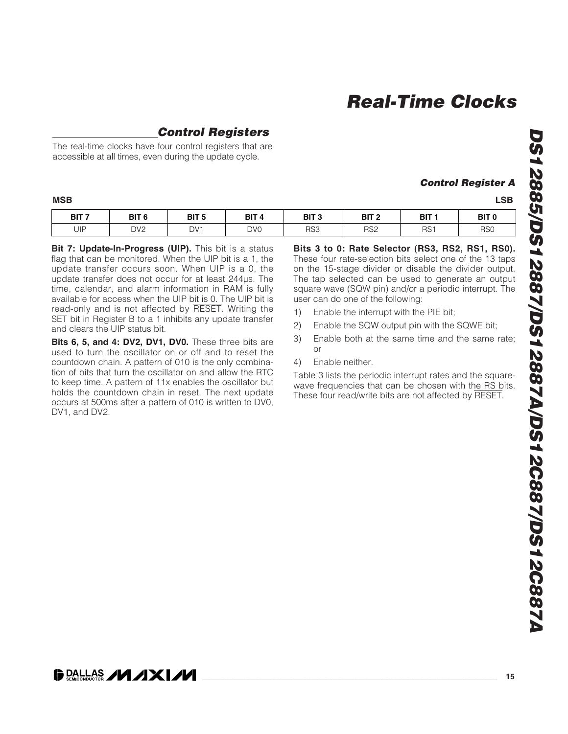**Control Register A**

### **Control Registers**

The real-time clocks have four control registers that are accessible at all times, even during the update cycle.

| <b>MSB</b> | <b>LSB</b><br>$\sim$ $\sim$ |
|------------|-----------------------------|
|------------|-----------------------------|

| BIT <sub>7</sub> | BIT <sub>6</sub> | BIT <sub>5</sub> | BIT <sub>4</sub> | BIT <sub>3</sub> | BIT 2           | BIT <sub>1</sub> | BIT <sub>0</sub> |
|------------------|------------------|------------------|------------------|------------------|-----------------|------------------|------------------|
| UIP              | DV <sub>2</sub>  | DV <sub>1</sub>  | DV <sub>0</sub>  | RS3              | RS <sub>2</sub> | RS <sup>-</sup>  | RS <sub>0</sub>  |

**Bit 7: Update-In-Progress (UIP).** This bit is a status flag that can be monitored. When the UIP bit is a 1, the update transfer occurs soon. When UIP is a 0, the update transfer does not occur for at least 244µs. The time, calendar, and alarm information in RAM is fully available for access when the UIP bit is 0. The UIP bit is read-only and is not affected by RESET. Writing the SET bit in Register B to a 1 inhibits any update transfer and clears the UIP status bit.

**Bits 6, 5, and 4: DV2, DV1, DV0.** These three bits are used to turn the oscillator on or off and to reset the countdown chain. A pattern of 010 is the only combination of bits that turn the oscillator on and allow the RTC to keep time. A pattern of 11x enables the oscillator but holds the countdown chain in reset. The next update occurs at 500ms after a pattern of 010 is written to DV0, DV1, and DV2.

**Bits 3 to 0: Rate Selector (RS3, RS2, RS1, RS0).** These four rate-selection bits select one of the 13 taps on the 15-stage divider or disable the divider output. The tap selected can be used to generate an output square wave (SQW pin) and/or a periodic interrupt. The user can do one of the following:

- 1) Enable the interrupt with the PIE bit;
- 2) Enable the SQW output pin with the SQWE bit;
- 3) Enable both at the same time and the same rate; or
- 4) Enable neither.

Table 3 lists the periodic interrupt rates and the squarewave frequencies that can be chosen with the RS bits. These four read/write bits are not affected by RESET.

**DALLAS /VI /IXI/VI**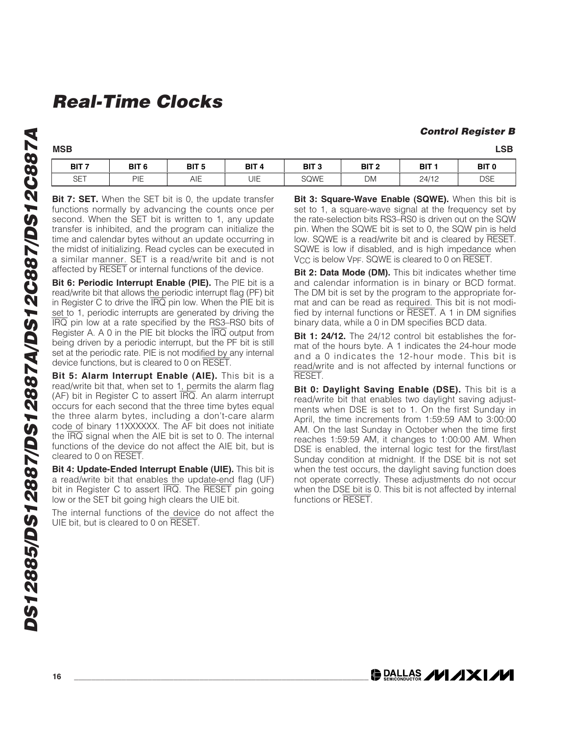#### **Control Register B**

| BIT 7                 | BIT <sub>6</sub> | BIT 5<br>$\sim$ | BIT 4 | <b>BIT</b><br>-<br>v | BIT | BIT   | BIT 0      |
|-----------------------|------------------|-----------------|-------|----------------------|-----|-------|------------|
| $\sim$ $\sim$<br>OF ' | DIE<br>▏▏        | AIE             | UIE   | <b>SQWE</b>          | DM  | 24/12 | <b>DSE</b> |

**Bit 7: SET.** When the SET bit is 0, the update transfer functions normally by advancing the counts once per second. When the SET bit is written to 1, any update transfer is inhibited, and the program can initialize the time and calendar bytes without an update occurring in the midst of initializing. Read cycles can be executed in a similar manner. SET is a read/write bit and is not affected by RESET or internal functions of the device.

**Bit 6: Periodic Interrupt Enable (PIE).** The PIE bit is a read/write bit that allows the periodic interrupt flag (PF) bit in Register C to drive the  $\overline{IRQ}$  pin low. When the PIE bit is set to 1, periodic interrupts are generated by driving the IRQ pin low at a rate specified by the RS3–RS0 bits of Register A. A 0 in the PIE bit blocks the IRQ output from being driven by a periodic interrupt, but the PF bit is still set at the periodic rate. PIE is not modified by any internal device functions, but is cleared to 0 on RESET.

**Bit 5: Alarm Interrupt Enable (AIE).** This bit is a read/write bit that, when set to 1, permits the alarm flag (AF) bit in Register C to assert IRQ. An alarm interrupt occurs for each second that the three time bytes equal the three alarm bytes, including a don't-care alarm code of binary 11XXXXXX. The AF bit does not initiate the IRQ signal when the AIE bit is set to 0. The internal functions of the device do not affect the AIE bit, but is cleared to 0 on RESET.

**Bit 4: Update-Ended Interrupt Enable (UIE).** This bit is a read/write bit that enables the update-end flag (UF) bit in Register C to assert IRQ. The RESET pin going low or the SET bit going high clears the UIE bit.

The internal functions of the device do not affect the UIE bit, but is cleared to 0 on RESET.

**Bit 3: Square-Wave Enable (SQWE).** When this bit is set to 1, a square-wave signal at the frequency set by the rate-selection bits RS3–RS0 is driven out on the SQW pin. When the SQWE bit is set to 0, the SQW pin is held low. SQWE is a read/write bit and is cleared by RESET. SQWE is low if disabled, and is high impedance when V<sub>CC</sub> is below V<sub>PF</sub>. SQWE is cleared to 0 on RESET.

**Bit 2: Data Mode (DM).** This bit indicates whether time and calendar information is in binary or BCD format. The DM bit is set by the program to the appropriate format and can be read as required. This bit is not modified by internal functions or RESET. A 1 in DM signifies binary data, while a 0 in DM specifies BCD data.

**Bit 1: 24/12.** The 24/12 control bit establishes the format of the hours byte. A 1 indicates the 24-hour mode and a 0 indicates the 12-hour mode. This bit is read/write and is not affected by internal functions or RESET.

**Bit 0: Daylight Saving Enable (DSE).** This bit is a read/write bit that enables two daylight saving adjustments when DSE is set to 1. On the first Sunday in April, the time increments from 1:59:59 AM to 3:00:00 AM. On the last Sunday in October when the time first reaches 1:59:59 AM, it changes to 1:00:00 AM. When DSE is enabled, the internal logic test for the first/last Sunday condition at midnight. If the DSE bit is not set when the test occurs, the daylight saving function does not operate correctly. These adjustments do not occur when the DSE bit is 0. This bit is not affected by internal functions or RESET.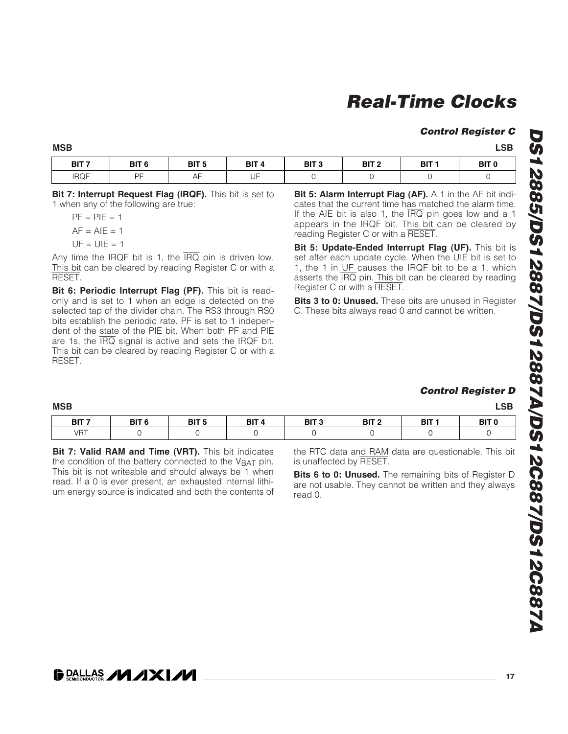#### **Control Register C**

**MSB LSB**

| BIT <sub>7</sub> | BIT <sub>6</sub> | BIT <sub>5</sub> | BIT <sub>4</sub>                   | BIT <sub>3</sub> | BIT <sub>2</sub> | BIT <sub>1</sub> | BIT ( |
|------------------|------------------|------------------|------------------------------------|------------------|------------------|------------------|-------|
| <b>IRQF</b>      | <b>DE</b>        | --               | $\overline{\phantom{a}}$<br>╙<br>ັ |                  |                  |                  |       |

**Bit 7: Interrupt Request Flag (IRQF).** This bit is set to 1 when any of the following are true:

| $PF = PIE = 1$ |  |
|----------------|--|
| $AF = AIE = 1$ |  |
| $UF = UIE = 1$ |  |

Any time the IRQF bit is 1, the  $\overline{IRQ}$  pin is driven low. This bit can be cleared by reading Register C or with a RESET.

**Bit 6: Periodic Interrupt Flag (PF).** This bit is readonly and is set to 1 when an edge is detected on the selected tap of the divider chain. The RS3 through RS0 bits establish the periodic rate. PF is set to 1 independent of the state of the PIE bit. When both PF and PIE are 1s, the IRQ signal is active and sets the IRQF bit. This bit can be cleared by reading Register C or with a RESET.

**Bit 5: Alarm Interrupt Flag (AF).** A 1 in the AF bit indicates that the current time has matched the alarm time. If the AIE bit is also 1, the IRQ pin goes low and a 1 appears in the IRQF bit. This bit can be cleared by reading Register C or with a RESET.

**Bit 5: Update-Ended Interrupt Flag (UF).** This bit is set after each update cycle. When the UIE bit is set to 1, the 1 in UF causes the IRQF bit to be a 1, which asserts the IRQ pin. This bit can be cleared by reading Register C or with a RESET.

**Bits 3 to 0: Unused.** These bits are unused in Register C. These bits always read 0 and cannot be written.

#### **Control Register D**

| <b>MSB</b>       |                  |                  |                  |                  |                  |                  | <b>LSB</b>       |
|------------------|------------------|------------------|------------------|------------------|------------------|------------------|------------------|
| BIT <sub>7</sub> | BIT <sub>6</sub> | BIT <sub>5</sub> | BIT <sub>4</sub> | BIT <sub>3</sub> | BIT <sub>2</sub> | BIT <sub>1</sub> | BIT <sub>0</sub> |
| <b>VRT</b>       |                  |                  |                  |                  |                  |                  |                  |

**Bit 7: Valid RAM and Time (VRT).** This bit indicates the condition of the battery connected to the  $V<sub>BAT</sub>$  pin. This bit is not writeable and should always be 1 when read. If a 0 is ever present, an exhausted internal lithium energy source is indicated and both the contents of the RTC data and RAM data are questionable. This bit is unaffected by RESET.

**Bits 6 to 0: Unused.** The remaining bits of Register D are not usable. They cannot be written and they always read 0.

# **DALLAS /VI /IXI/VI**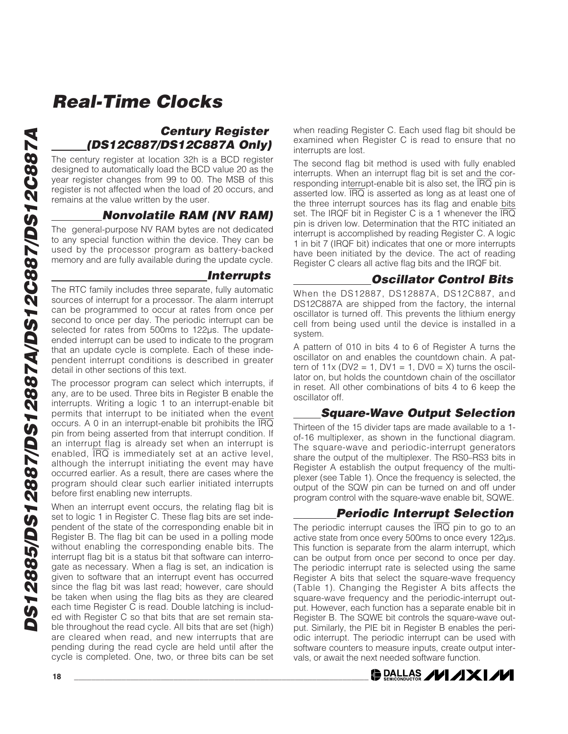### **Century Register (DS12C887/DS12C887A Only)**

The century register at location 32h is a BCD register designed to automatically load the BCD value 20 as the year register changes from 99 to 00. The MSB of this register is not affected when the load of 20 occurs, and remains at the value written by the user.

### **Nonvolatile RAM (NV RAM)**

The general-purpose NV RAM bytes are not dedicated to any special function within the device. They can be used by the processor program as battery-backed memory and are fully available during the update cycle.

#### **Interrupts**

The RTC family includes three separate, fully automatic sources of interrupt for a processor. The alarm interrupt can be programmed to occur at rates from once per second to once per day. The periodic interrupt can be selected for rates from 500ms to 122µs. The updateended interrupt can be used to indicate to the program that an update cycle is complete. Each of these independent interrupt conditions is described in greater detail in other sections of this text.

The processor program can select which interrupts, if any, are to be used. Three bits in Register B enable the interrupts. Writing a logic 1 to an interrupt-enable bit permits that interrupt to be initiated when the event occurs. A 0 in an interrupt-enable bit prohibits the IRQ pin from being asserted from that interrupt condition. If an interrupt flag is already set when an interrupt is enabled, IRQ is immediately set at an active level, although the interrupt initiating the event may have occurred earlier. As a result, there are cases where the program should clear such earlier initiated interrupts before first enabling new interrupts.

When an interrupt event occurs, the relating flag bit is set to logic 1 in Register C. These flag bits are set independent of the state of the corresponding enable bit in Register B. The flag bit can be used in a polling mode without enabling the corresponding enable bits. The interrupt flag bit is a status bit that software can interrogate as necessary. When a flag is set, an indication is given to software that an interrupt event has occurred since the flag bit was last read; however, care should be taken when using the flag bits as they are cleared each time Register C is read. Double latching is included with Register C so that bits that are set remain stable throughout the read cycle. All bits that are set (high) are cleared when read, and new interrupts that are pending during the read cycle are held until after the cycle is completed. One, two, or three bits can be set when reading Register C. Each used flag bit should be examined when Register C is read to ensure that no interrupts are lost.

The second flag bit method is used with fully enabled interrupts. When an interrupt flag bit is set and the corresponding interrupt-enable bit is also set, the  $\overline{\text{IRQ}}$  pin is asserted low.  $\overline{IRQ}$  is asserted as long as at least one of the three interrupt sources has its flag and enable bits set. The IRQF bit in Register C is a 1 whenever the IRQ pin is driven low. Determination that the RTC initiated an interrupt is accomplished by reading Register C. A logic 1 in bit 7 (IRQF bit) indicates that one or more interrupts have been initiated by the device. The act of reading Register C clears all active flag bits and the IRQF bit.

### **Oscillator Control Bits**

When the DS12887, DS12887A, DS12C887, and DS12C887A are shipped from the factory, the internal oscillator is turned off. This prevents the lithium energy cell from being used until the device is installed in a system.

A pattern of 010 in bits 4 to 6 of Register A turns the oscillator on and enables the countdown chain. A pattern of  $11x$  (DV2 = 1, DV1 = 1, DV0 = X) turns the oscillator on, but holds the countdown chain of the oscillator in reset. All other combinations of bits 4 to 6 keep the oscillator off.

#### **Square-Wave Output Selection**

Thirteen of the 15 divider taps are made available to a 1 of-16 multiplexer, as shown in the functional diagram. The square-wave and periodic-interrupt generators share the output of the multiplexer. The RS0–RS3 bits in Register A establish the output frequency of the multiplexer (see Table 1). Once the frequency is selected, the output of the SQW pin can be turned on and off under program control with the square-wave enable bit, SQWE.

### **Periodic Interrupt Selection**

The periodic interrupt causes the  $\overline{IRQ}$  pin to go to an active state from once every 500ms to once every 122µs. This function is separate from the alarm interrupt, which can be output from once per second to once per day. The periodic interrupt rate is selected using the same Register A bits that select the square-wave frequency (Table 1). Changing the Register A bits affects the square-wave frequency and the periodic-interrupt output. However, each function has a separate enable bit in Register B. The SQWE bit controls the square-wave output. Similarly, the PIE bit in Register B enables the periodic interrupt. The periodic interrupt can be used with software counters to measure inputs, create output intervals, or await the next needed software function.

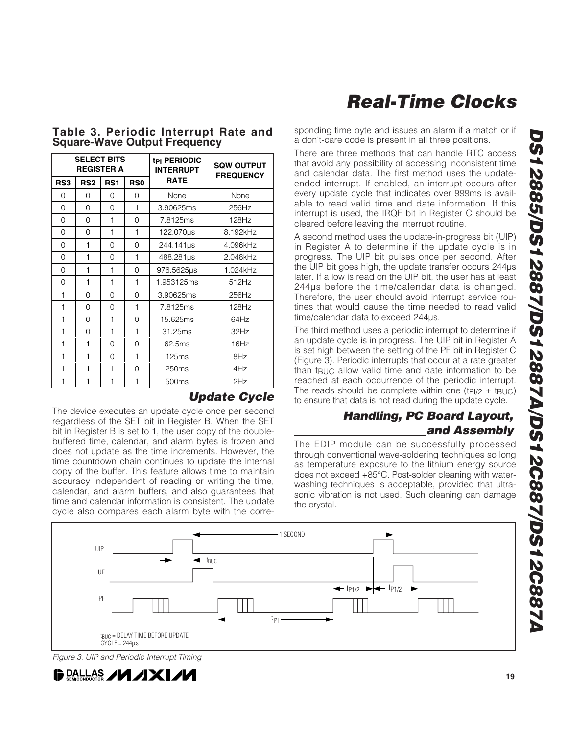|                 | <b>SELECT BITS</b> | <b>REGISTER A</b> |                 | t <sub>PI</sub> PERIODIC<br><b>INTERRUPT</b> | <b>SQW OUTPUT</b><br><b>FREQUENCY</b> |
|-----------------|--------------------|-------------------|-----------------|----------------------------------------------|---------------------------------------|
| RS <sub>3</sub> | RS <sub>2</sub>    | RS <sub>1</sub>   | RS <sub>0</sub> | <b>RATE</b>                                  |                                       |
| $\Omega$        | $\Omega$           | $\Omega$          | 0               | None                                         | None                                  |
| 0               | 0                  | 0                 | 1               | 3.90625ms                                    | 256Hz                                 |
| 0               | 0                  | $\mathbf{1}$      | 0               | 7.8125ms                                     | 128Hz                                 |
| 0               | $\Omega$           | $\mathbf{1}$      | 1               | 122.070us                                    | 8.192kHz                              |
| 0               | $\mathbf{1}$       | 0                 | $\Omega$        | 244.141us                                    | 4.096kHz                              |
| 0               | 1                  | $\Omega$          | 1               | 488.281µs                                    | 2.048kHz                              |
| 0               | 1                  | $\mathbf{1}$      | $\Omega$        | 976.5625µs                                   | 1.024kHz                              |
| 0               | $\mathbf{1}$       | 1                 | 1               | 1.953125ms                                   | 512Hz                                 |
| $\mathbf{1}$    | 0                  | $\Omega$          | $\Omega$        | 3.90625ms                                    | 256Hz                                 |
| 1               | $\Omega$           | $\Omega$          | 1               | 7.8125ms                                     | 128Hz                                 |
| 1               | 0                  | 1                 | 0               | 15.625ms                                     | 64Hz                                  |
| 1               | $\Omega$           | $\mathbf{1}$      | 1               | 31.25ms                                      | 32Hz                                  |
| $\mathbf{1}$    | $\mathbf{1}$       | 0                 | $\Omega$        | 62.5ms                                       | 16Hz                                  |
| 1               | $\mathbf{1}$       | $\Omega$          | 1               | 125ms                                        | 8Hz                                   |
| 1               | 1                  | 1                 | $\Omega$        | 250ms                                        | 4Hz                                   |
| 1               | 1                  | 1                 | 1               | 500ms                                        | 2Hz                                   |
|                 |                    |                   |                 |                                              | <b>Update Cycle</b>                   |

#### **Table 3. Periodic Interrupt Rate and Square-Wave Output Frequency**

The device executes an update cycle once per second regardless of the SET bit in Register B. When the SET bit in Register B is set to 1, the user copy of the doublebuffered time, calendar, and alarm bytes is frozen and does not update as the time increments. However, the time countdown chain continues to update the internal copy of the buffer. This feature allows time to maintain accuracy independent of reading or writing the time, calendar, and alarm buffers, and also guarantees that time and calendar information is consistent. The update cycle also compares each alarm byte with the corresponding time byte and issues an alarm if a match or if a don't-care code is present in all three positions.

There are three methods that can handle RTC access that avoid any possibility of accessing inconsistent time and calendar data. The first method uses the updateended interrupt. If enabled, an interrupt occurs after every update cycle that indicates over 999ms is available to read valid time and date information. If this interrupt is used, the IRQF bit in Register C should be cleared before leaving the interrupt routine.

A second method uses the update-in-progress bit (UIP) in Register A to determine if the update cycle is in progress. The UIP bit pulses once per second. After the UIP bit goes high, the update transfer occurs 244µs later. If a low is read on the UIP bit, the user has at least 244µs before the time/calendar data is changed. Therefore, the user should avoid interrupt service routines that would cause the time needed to read valid time/calendar data to exceed 244µs.

The third method uses a periodic interrupt to determine if an update cycle is in progress. The UIP bit in Register A is set high between the setting of the PF bit in Register C (Figure 3). Periodic interrupts that occur at a rate greater than  $t_{\text{BUC}}$  allow valid time and date information to be reached at each occurrence of the periodic interrupt. The reads should be complete within one (t $P1/2$  + tBUC) to ensure that data is not read during the update cycle.

#### **Handling, PC Board Layout, and Assembly**

The EDIP module can be successfully processed through conventional wave-soldering techniques so long as temperature exposure to the lithium energy source does not exceed +85°C. Post-solder cleaning with waterwashing techniques is acceptable, provided that ultrasonic vibration is not used. Such cleaning can damage the crystal.



**DS12885/DS12887/DS12887A/DS12C887/DS12C887A**

DS12885/DS12887/DS12887A/DS12C887/DS12C887A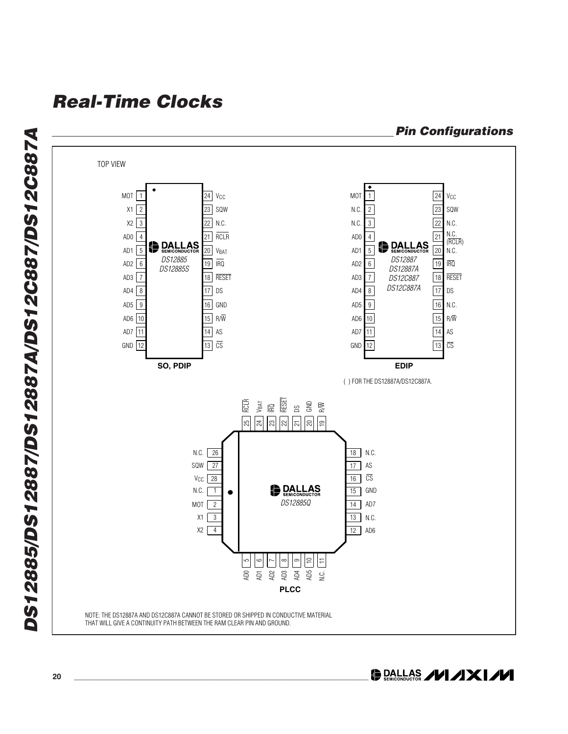

**DS12885/DS12887/DS12887A/DS12C887/DS12C887A** DS12885/DS12887/DS12887A/DS12C887/DS12C887A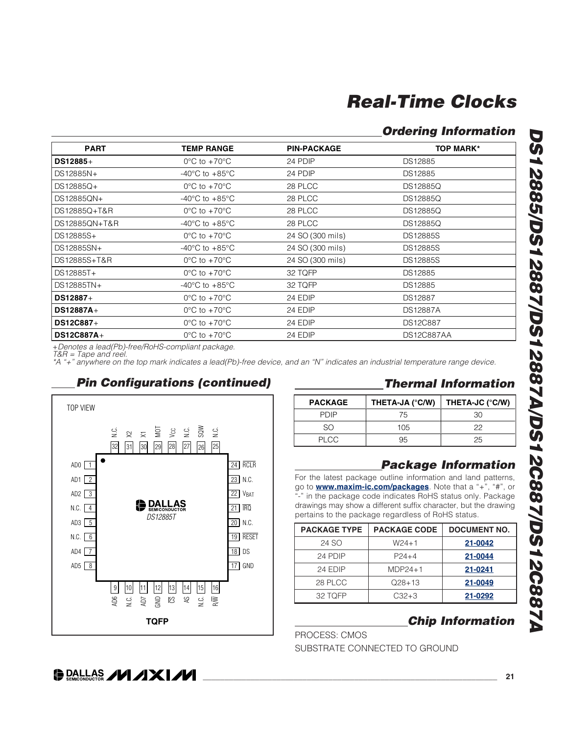### **Ordering Information**

| <b>PART</b>   | <b>TEMP RANGE</b>                    | <b>PIN-PACKAGE</b> | <b>TOP MARK*</b>  |
|---------------|--------------------------------------|--------------------|-------------------|
| $DS12885+$    | $0^{\circ}$ C to +70 $^{\circ}$ C    | 24 PDIP            | DS12885           |
| DS12885N+     | $-40^{\circ}$ C to $+85^{\circ}$ C   | 24 PDIP            | DS12885           |
| DS12885Q+     | $0^{\circ}$ C to +70 $^{\circ}$ C    | 28 PLCC            | DS12885Q          |
| DS12885QN+    | -40 $^{\circ}$ C to +85 $^{\circ}$ C | 28 PLCC            | <b>DS12885Q</b>   |
| DS12885Q+T&R  | $0^{\circ}$ C to +70 $^{\circ}$ C    | 28 PLCC            | DS12885Q          |
| DS12885QN+T&R | -40 $^{\circ}$ C to +85 $^{\circ}$ C | 28 PLCC            | <b>DS12885Q</b>   |
| DS12885S+     | $0^{\circ}$ C to +70 $^{\circ}$ C    | 24 SO (300 mils)   | <b>DS12885S</b>   |
| DS12885SN+    | -40 $^{\circ}$ C to +85 $^{\circ}$ C | 24 SO (300 mils)   | <b>DS12885S</b>   |
| DS12885S+T&R  | $0^{\circ}$ C to +70 $^{\circ}$ C    | 24 SO (300 mils)   | DS12885S          |
| DS12885T+     | $0^{\circ}$ C to +70 $^{\circ}$ C    | 32 TQFP            | DS12885           |
| DS12885TN+    | -40 $^{\circ}$ C to +85 $^{\circ}$ C | 32 TQFP            | DS12885           |
| DS12887+      | $0^{\circ}$ C to +70 $^{\circ}$ C    | 24 EDIP            | DS12887           |
| DS12887A+     | $0^{\circ}$ C to +70 $^{\circ}$ C    | 24 EDIP            | <b>DS12887A</b>   |
| DS12C887+     | $0^{\circ}$ C to +70 $^{\circ}$ C    | 24 EDIP            | <b>DS12C887</b>   |
| DS12C887A+    | $0^{\circ}$ C to +70 $^{\circ}$ C    | 24 EDIP            | <b>DS12C887AA</b> |

+Denotes a lead(Pb)-free/RoHS-compliant package.

T&R = Tape and reel.

\*A "+" anywhere on the top mark indicates a lead(Pb)-free device, and an "N" indicates an industrial temperature range device.





#### **Thermal Information**

| <b>PACKAGE</b> | THETA-JA (°C/W) | THETA-JC (°C/W) |
|----------------|-----------------|-----------------|
| PDIP           | 75              | ദറ              |
| SO             | 105             | 22              |
| PLCC.          | 95              | 25              |

#### **Package Information**

For the latest package outline information and land patterns, go to **www.maxim-ic.com/packages**. Note that a "+", "#", or "-" in the package code indicates RoHS status only. Package drawings may show a different suffix character, but the drawing pertains to the package regardless of RoHS status.

| <b>PACKAGE TYPE</b> | <b>PACKAGE CODE</b> | <b>DOCUMENT NO.</b> |
|---------------------|---------------------|---------------------|
| 24 SO               | $W24+1$             | 21-0042             |
| 24 PDIP             | $P$ 24+4            | 21-0044             |
| 24 EDIP             | $MDP24+1$           | 21-0241             |
| 28 PLCC             | $Q28+13$            | 21-0049             |
| 32 TQFP             | $C32+3$             | 21-0292             |

### **Chip Information**

PROCESS: CMOS

SUBSTRATE CONNECTED TO GROUND